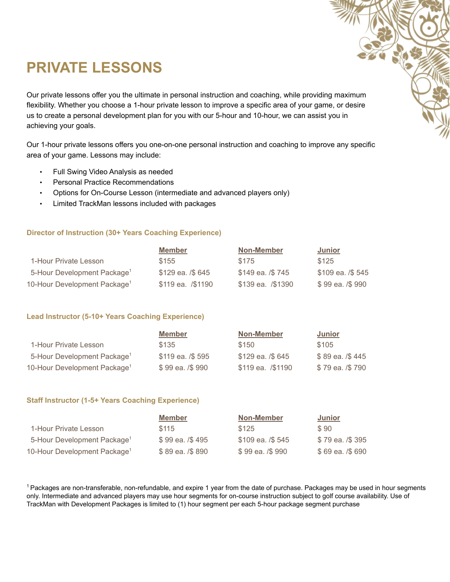# **PRIVATE LESSONS**

Our private lessons offer you the ultimate in personal instruction and coaching, while providing maximum flexibility. Whether you choose a 1-hour private lesson to improve a specific area of your game, or desire us to create a personal development plan for you with our 5-hour and 10-hour, we can assist you in achieving your goals.

Our 1-hour private lessons offers you one-on-one personal instruction and coaching to improve any specific area of your game. Lessons may include:

- Full Swing Video Analysis as needed
- Personal Practice Recommendations
- Options for On-Course Lesson (intermediate and advanced players only)
- Limited TrackMan lessons included with packages

### **Director of Instruction (30+ Years Coaching Experience)**

|                                          | <b>Member</b>     | <b>Non-Member</b> | <u>Junior</u>     |
|------------------------------------------|-------------------|-------------------|-------------------|
| 1-Hour Private Lesson                    | \$155             | \$175             | \$125             |
| 5-Hour Development Package <sup>1</sup>  | \$129 ea. /\$ 645 | \$149 ea. /\$ 745 | \$109 ea. /\$ 545 |
| 10-Hour Development Package <sup>1</sup> | \$119 ea. /\$1190 | \$139 ea. /\$1390 | \$99 ea. /\$990   |

#### **Lead Instructor (5-10+ Years Coaching Experience)**

|                                          | <b>Member</b>     | Non-Member        | <b>Junior</b>   |
|------------------------------------------|-------------------|-------------------|-----------------|
| 1-Hour Private Lesson                    | \$135             | \$150             | \$105           |
| 5-Hour Development Package <sup>1</sup>  | \$119 ea. /\$ 595 | \$129 ea. /\$ 645 | \$89 ea. /\$445 |
| 10-Hour Development Package <sup>1</sup> | \$99 ea. /\$990   | \$119 ea. /\$1190 | \$79 ea. /\$790 |

### **Staff Instructor (1-5+ Years Coaching Experience)**

|                                          | <b>Member</b>   | <b>Non-Member</b> | <b>Junior</b>   |
|------------------------------------------|-----------------|-------------------|-----------------|
| 1-Hour Private Lesson                    | \$115           | \$125             | \$90            |
| 5-Hour Development Package <sup>1</sup>  | \$99 ea. /\$495 | \$109 ea. /\$ 545 | \$79 ea. /\$395 |
| 10-Hour Development Package <sup>1</sup> | \$89 ea. /\$890 | $$99$ ea. /\$ 990 | \$69 ea. /\$690 |

<sup>1</sup> Packages are non-transferable, non-refundable, and expire 1 year from the date of purchase. Packages may be used in hour segments only. Intermediate and advanced players may use hour segments for on-course instruction subject to golf course availability. Use of TrackMan with Development Packages is limited to (1) hour segment per each 5-hour package segment purchase